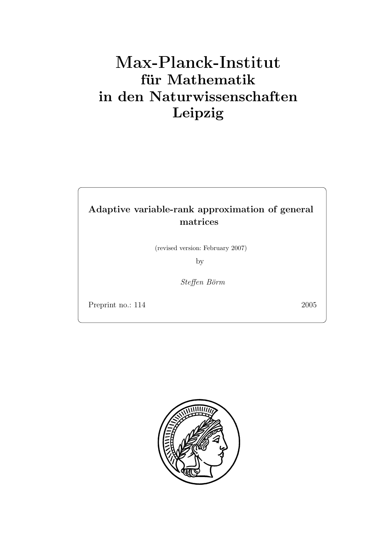# **für Mathematik in den Naturwissenschaften Leipzig**

## **Adaptive variable-rank approximation of general matrices**

(revised version: February 2007)

by

Steffen Börm

Preprint no.: 114 2005

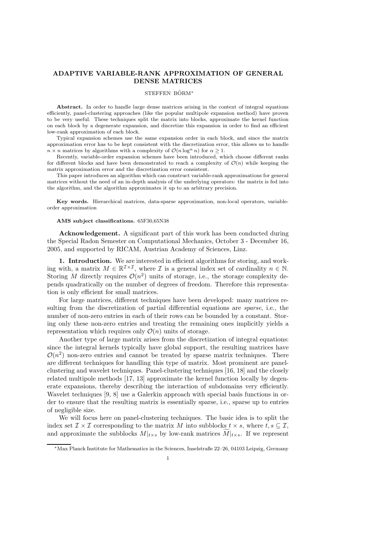### **ADAPTIVE VARIABLE-RANK APPROXIMATION OF GENERAL DENSE MATRICES**

#### STEFFEN BÖRM<sup>\*</sup>

**Abstract.** In order to handle large dense matrices arising in the context of integral equations efficiently, panel-clustering approaches (like the popular multipole expansion method) have proven to be very useful. These techniques split the matrix into blocks, approximate the kernel function on each block by a degenerate expansion, and discretize this expansion in order to find an efficient low-rank approximation of each block.

Typical expansion schemes use the same expansion order in each block, and since the matrix approximation error has to be kept consistent with the discretization error, this allows us to handle  $n \times n$  matrices by algorithms with a complexity of  $\mathcal{O}(n \log^{\alpha} n)$  for  $\alpha \geq 1$ .

Recently, variable-order expansion schemes have been introduced, which choose different ranks for different blocks and have been demonstrated to reach a complexity of  $\mathcal{O}(n)$  while keeping the matrix approximation error and the discretization error consistent.

This paper introduces an algorithm which can construct variable-rank approximations for general matrices without the need of an in-depth analysis of the underlying operators: the matrix is fed into the algorithm, and the algorithm approximates it up to an arbitrary precision.

**Key words.** Hierarchical matrices, data-sparse approximation, non-local operators, variableorder approximation

#### **AMS subject classifications.** 65F30,65N38

**Acknowledgement.** A significant part of this work has been conducted during the Special Radon Semester on Computational Mechanics, October 3 - December 16, 2005, and supported by RICAM, Austrian Academy of Sciences, Linz.

**1. Introduction.** We are interested in efficient algorithms for storing, and working with, a matrix  $M \in \mathbb{R}^{\mathcal{I} \times \mathcal{I}}$ , where  $\mathcal I$  is a general index set of cardinality  $n \in \mathbb{N}$ . Storing M directly requires  $\mathcal{O}(n^2)$  units of storage, i.e., the storage complexity depends quadratically on the number of degrees of freedom. Therefore this representation is only efficient for small matrices.

For large matrices, different techniques have been developed: many matrices resulting from the discretization of partial differential equations are *sparse*, i.e., the number of non-zero entries in each of their rows can be bounded by a constant. Storing only these non-zero entries and treating the remaining ones implicitly yields a representation which requires only  $\mathcal{O}(n)$  units of storage.

Another type of large matrix arises from the discretization of integral equations: since the integral kernels typically have global support, the resulting matrices have  $\mathcal{O}(n^2)$  non-zero entries and cannot be treated by sparse matrix techniques. There are different techniques for handling this type of matrix. Most prominent are panelclustering and wavelet techniques. Panel-clustering techniques [16, 18] and the closely related multipole methods [17, 13] approximate the kernel function locally by degenerate expansions, thereby describing the interaction of subdomains very efficiently. Wavelet techniques [9, 8] use a Galerkin approach with special basis functions in order to ensure that the resulting matrix is essentially sparse, i.e., sparse up to entries of negligible size.

We will focus here on panel-clustering techniques. The basic idea is to split the index set  $\mathcal{I} \times \mathcal{I}$  corresponding to the matrix M into subblocks  $t \times s$ , where  $t, s \subseteq \mathcal{I}$ , and approximate the subblocks  $M|_{t\times s}$  by low-rank matrices  $M|_{t\times s}$ . If we represent

<sup>∗</sup>Max Planck Institute for Mathematics in the Sciences, Inselstraße 22–26, 04103 Leipzig, Germany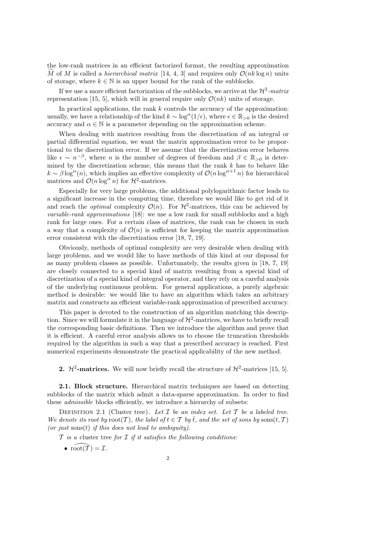the low-rank matrices in an efficient factorized format, the resulting approximation M of M is called a *hierarchical matrix* [14, 4, 3] and requires only  $\mathcal{O}(nk \log n)$  units<br>of starses, where  $k \in \mathbb{N}$  is an unner hound for the park of the subhlashes of storage, where  $k \in \mathbb{N}$  is an upper bound for the rank of the subblocks.

If we use a more efficient factorization of the subblocks, we arrive at the  $\mathcal{H}^2$ -matrix representation [15, 5], which will in general require only  $\mathcal{O}(nk)$  units of storage.

In practical applications, the rank  $k$  controls the accuracy of the approximation: usually, we have a relationship of the kind  $k \sim \log^{\alpha}(1/\epsilon)$ , where  $\epsilon \in \mathbb{R}_{>0}$  is the desired accuracy and  $\alpha \in \mathbb{N}$  is a parameter depending on the approximation scheme.

When dealing with matrices resulting from the discretization of an integral or partial differential equation, we want the matrix approximation error to be proportional to the discretization error. If we assume that the discretization error behaves like  $\epsilon \sim n^{-\beta}$ , where n is the number of degrees of freedom and  $\beta \in \mathbb{R}_{>0}$  is determined by the discretization scheme, this means that the rank  $k$  has to behave like  $k \sim \beta \log^{\alpha}(n)$ , which implies an effective complexity of  $\mathcal{O}(n \log^{\alpha+1} n)$  for hierarchical matrices and  $\mathcal{O}(n \log^{\alpha} n)$  for  $\mathcal{H}^2$ -matrices.

Especially for very large problems, the additional polylogarithmic factor leads to a significant increase in the computing time, therefore we would like to get rid of it and reach the *optimal* complexity  $O(n)$ . For  $H^2$ -matrices, this can be achieved by *variable-rank approximations* [18]: we use a low rank for small subblocks and a high rank for large ones. For a certain class of matrices, the rank can be chosen in such a way that a complexity of  $\mathcal{O}(n)$  is sufficient for keeping the matrix approximation error consistent with the discretization error [18, 7, 19].

Obviously, methods of optimal complexity are very desirable when dealing with large problems, and we would like to have methods of this kind at our disposal for as many problem classes as possible. Unfortunately, the results given in [18, 7, 19] are closely connected to a special kind of matrix resulting from a special kind of discretization of a special kind of integral operator, and they rely on a careful analysis of the underlying continuous problem. For general applications, a purely algebraic method is desirable: we would like to have an algorithm which takes an arbitrary matrix and constructs an efficient variable-rank approximation of prescribed accuracy.

This paper is devoted to the construction of an algorithm matching this description. Since we will formulate it in the language of  $\mathcal{H}^2$ -matrices, we have to briefly recall the corresponding basic definitions. Then we introduce the algorithm and prove that it is efficient. A careful error analysis allows us to choose the truncation thresholds required by the algorithm in such a way that a prescribed accuracy is reached. First numerical experiments demonstrate the practical applicability of the new method.

**2.**  $\mathcal{H}^2$ -matrices. We will now briefly recall the structure of  $\mathcal{H}^2$ -matrices [15, 5].

**2.1. Block structure.** Hierarchical matrix techniques are based on detecting subblocks of the matrix which admit a data-sparse approximation. In order to find these *admissible* blocks efficiently, we introduce a hierarchy of subsets:

DEFINITION 2.1 (Cluster tree). Let  $I$  be an index set. Let  $I$  be a labeled tree. *We denote its root by*  $root(T)$ *, the label of*  $t \in T$  *by*  $\hat{t}$ *, and the set of sons by* sons $(t, T)$ *(or just* sons(t) *if this does not lead to ambiguity).*

 $\mathcal T$  *is a* cluster tree for  $\mathcal I$  *if it satisfies the following conditions:* 

•  $\widehat{\mathrm{root}(T)} = \mathcal{I}.$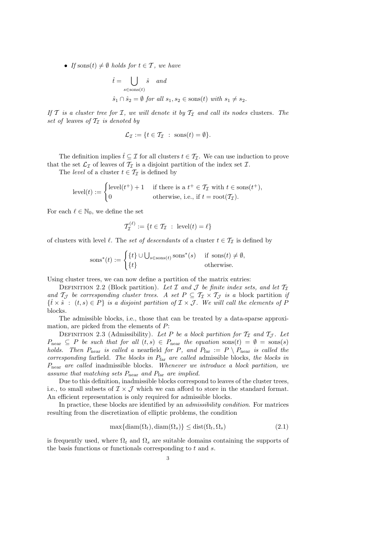• *If* sons $(t) \neq \emptyset$  *holds for*  $t \in \mathcal{T}$ *, we have* 

$$
\hat{t} = \bigcup_{s \in \text{sons}(t)} \hat{s} \quad and
$$
  

$$
\hat{s}_1 \cap \hat{s}_2 = \emptyset \text{ for all } s_1, s_2 \in \text{sons}(t) \text{ with } s_1 \neq s_2.
$$

*If*  $T$  *is a cluster tree for*  $T$ *, we will denote it by*  $T_T$  *and call its nodes* clusters. The *set of* leaves of  $\mathcal{T}_{\mathcal{I}}$  *is denoted by* 

$$
\mathcal{L}_{\mathcal{I}} := \{ t \in \mathcal{T}_{\mathcal{I}} \ : \ \text{sons}(t) = \emptyset \}.
$$

The definition implies  $\hat{t} \subseteq \mathcal{I}$  for all clusters  $t \in \mathcal{T}_{\mathcal{I}}$ . We can use induction to prove that the set  $\mathcal{L}_{\mathcal{I}}$  of leaves of  $\mathcal{T}_{\mathcal{I}}$  is a disjoint partition of the index set  $\mathcal{I}$ .

The *level* of a cluster  $t \in \mathcal{T}_{\mathcal{I}}$  is defined by

$$
level(t) := \begin{cases} level(t^+) + 1 & \text{if there is a } t^+ \in \mathcal{T}_{\mathcal{I}} \text{ with } t \in \text{sons}(t^+), \\ 0 & \text{otherwise, i.e., if } t = \text{root}(\mathcal{T}_{\mathcal{I}}). \end{cases}
$$

For each  $\ell \in \mathbb{N}_0$ , we define the set

$$
\mathcal{T}_{\mathcal{I}}^{(\ell)} := \{ t \in \mathcal{T}_{\mathcal{I}} \ : \ \text{level}(t) = \ell \}
$$

of clusters with level  $\ell$ . The *set of descendants* of a cluster  $t \in \mathcal{T}_{\mathcal{I}}$  is defined by

$$
sons^*(t) := \begin{cases} \{t\} \cup \bigcup_{s \in \text{sons}(t)} \text{sons}^*(s) & \text{if } \text{sons}(t) \neq \emptyset, \\ \{t\} & \text{otherwise.} \end{cases}
$$

Using cluster trees, we can now define a partition of the matrix entries:

DEFINITION 2.2 (Block partition). Let  $\mathcal I$  and  $\mathcal J$  be finite index sets, and let  $\mathcal T_{\mathcal I}$ *and*  $\mathcal{T}_{\mathcal{J}}$  *be corresponding cluster trees.* A set  $P \subseteq \mathcal{T}_{\mathcal{I}} \times \mathcal{T}_{\mathcal{J}}$  *is a* block partition *if*  $\{\hat{t} \times \hat{s} : (t, s) \in P\}$  *is a disjoint partition of*  $\mathcal{I} \times \mathcal{J}$ *. We will call the elements of* P blocks*.*

The admissible blocks, i.e., those that can be treated by a data-sparse approximation, are picked from the elements of P:

DEFINITION 2.3 (Admissibility). Let P be a block partition for  $T_1$  and  $T_1$ . Let  $P_{\text{near}} \subseteq P$  *be such that for all*  $(t, s) \in P_{\text{near}}$  *the equation* sons $(t) = \emptyset = \text{sons}(s)$ *holds. Then*  $P_{\text{near}}$  *is called a* nearfield *for* P, and  $P_{\text{far}} := P \setminus P_{\text{near}}$  *is called the corresponding* farfield*. The blocks in* Pfar *are called* admissible blocks*, the blocks in* Pnear *are called* inadmissible blocks*. Whenever we introduce a block partition, we assume that matching sets* Pnear *and* Pfar *are implied.*

Due to this definition, inadmissible blocks correspond to leaves of the cluster trees, i.e., to small subsets of  $\mathcal{I} \times \mathcal{J}$  which we can afford to store in the standard format. An efficient representation is only required for admissible blocks.

In practice, these blocks are identified by an *admissibility condition*. For matrices resulting from the discretization of elliptic problems, the condition

$$
\max\{\text{diam}(\Omega_t),\text{diam}(\Omega_s)\}\leq\text{dist}(\Omega_t,\Omega_s)\tag{2.1}
$$

is frequently used, where  $\Omega_t$  and  $\Omega_s$  are suitable domains containing the supports of the basis functions or functionals corresponding to t and s.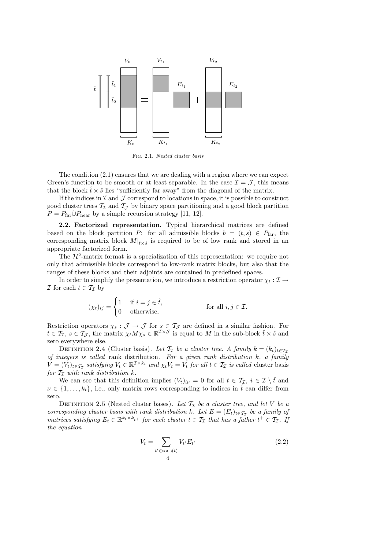

Fig. 2.1. Nested cluster basis

The condition (2.1) ensures that we are dealing with a region where we can expect Green's function to be smooth or at least separable. In the case  $\mathcal{I} = \mathcal{J}$ , this means that the block  $\hat{t} \times \hat{s}$  lies "sufficiently far away" from the diagonal of the matrix.

If the indices in  $\mathcal I$  and  $\mathcal J$  correspond to locations in space, it is possible to construct good cluster trees  $\mathcal{T}_{\mathcal{I}}$  and  $\mathcal{T}_{\mathcal{J}}$  by binary space partitioning and a good block partition  $P = P_{\text{far}} \dot{\cup} P_{\text{near}}$  by a simple recursion strategy [11, 12].

**2.2. Factorized representation.** Typical hierarchical matrices are defined based on the block partition P: for all admissible blocks  $b = (t, s) \in P_{\text{far}}$ , the corresponding matrix block  $M|_{\hat{t}\times\hat{s}}$  is required to be of low rank and stored in an appropriate factorized form.

The  $\mathcal{H}^2$ -matrix format is a specialization of this representation: we require not only that admissible blocks correspond to low-rank matrix blocks, but also that the ranges of these blocks and their adjoints are contained in predefined spaces.

In order to simplify the presentation, we introduce a restriction operator  $\chi_t : \mathcal{I} \to$  $\mathcal I$  for each  $t \in \mathcal T_{\mathcal I}$  by

$$
(\chi_t)_{ij} = \begin{cases} 1 & \text{if } i = j \in \hat{t}, \\ 0 & \text{otherwise}, \end{cases}
$$
 for all  $i, j \in \mathcal{I}$ .

Restriction operators  $\chi_s : \mathcal{J} \to \mathcal{J}$  for  $s \in \mathcal{I}_{\mathcal{J}}$  are defined in a similar fashion. For  $t \in \mathcal{T}_{\mathcal{I}}, s \in \mathcal{T}_{\mathcal{J}},$  the matrix  $\chi_t M \chi_s \in \mathbb{R}^{\mathcal{I} \times \mathcal{J}}$  is equal to M in the sub-block  $\hat{t} \times \hat{s}$  and zero everywhere else.

DEFINITION 2.4 (Cluster basis). Let  $\mathcal{T}_{\mathcal{I}}$  be a cluster tree. A family  $k = (k_t)_{t \in \mathcal{T}_{\mathcal{I}}}$ *of integers is called* rank distribution*. For a given rank distribution* k*, a family*  $V = (V_t)_{t \in \mathcal{T}_{\mathcal{I}}}$  *satisfying*  $V_t \in \mathbb{R}^{\mathcal{I} \times k_t}$  *and*  $\chi_t V_t = V_t$  *for all*  $t \in \mathcal{T}_{\mathcal{I}}$  *is called* cluster basis *for*  $\mathcal{T}_{\mathcal{I}}$  *with rank distribution*  $k$ *.* 

We can see that this definition implies  $(V_t)_{i\nu} = 0$  for all  $t \in \mathcal{T}_{\mathcal{I}}$ ,  $i \in \mathcal{I} \setminus \hat{t}$  and  $\nu \in \{1, \ldots, k_t\}$ , i.e., only matrix rows corresponding to indices in  $\hat{t}$  can differ from zero.

DEFINITION 2.5 (Nested cluster bases). Let  $\mathcal{T}_I$  be a cluster tree, and let V be a *corresponding cluster basis with rank distribution* k. Let  $E = (E_t)_{t \in \mathcal{T}_{\tau}}$  be a family of *matrices satisfying*  $E_t \in \mathbb{R}^{k_t \times k_{t+1}}$  *for each cluster*  $t \in \mathcal{T}_{\mathcal{I}}$  *that has a father*  $t^+ \in \mathcal{T}_{\mathcal{I}}$ *. If the equation*

$$
V_t = \sum_{t' \in \text{sons}(t)} V_{t'} E_{t'} \tag{2.2}
$$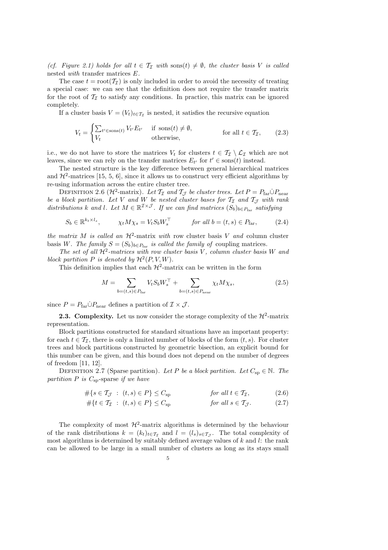*(cf. Figure 2.1) holds for all*  $t \in \mathcal{T}_{\mathcal{T}}$  *with* sons $(t) \neq \emptyset$ *, the cluster basis* V *is called* nested *with* transfer matrices E*.*

The case  $t = \text{root}(\mathcal{T}_{\mathcal{I}})$  is only included in order to avoid the necessity of treating a special case: we can see that the definition does not require the transfer matrix for the root of  $\mathcal{T}_{\mathcal{I}}$  to satisfy any conditions. In practice, this matrix can be ignored completely.

If a cluster basis  $V = (V_t)_{t \in \mathcal{T}_{\mathcal{I}}}$  is nested, it satisfies the recursive equation

$$
V_t = \begin{cases} \sum_{t' \in \text{sons}(t)} V_{t'} E_{t'} & \text{if } \text{sons}(t) \neq \emptyset, \\ V_t & \text{otherwise,} \end{cases} \quad \text{for all } t \in \mathcal{T}_\mathcal{I}, \qquad (2.3)
$$

i.e., we do not have to store the matrices  $V_t$  for clusters  $t \in \mathcal{T}_{\mathcal{I}} \setminus \mathcal{L}_{\mathcal{I}}$  which are not leaves, since we can rely on the transfer matrices  $E_{t'}$  for  $t' \in \text{sons}(t)$  instead.

The nested structure is the key difference between general hierarchical matrices and  $\mathcal{H}^2$ -matrices [15, 5, 6], since it allows us to construct very efficient algorithms by re-using information across the entire cluster tree.

DEFINITION 2.6 ( $\mathcal{H}^2$ -matrix). Let  $\mathcal{T}_{\mathcal{I}}$  *and*  $\mathcal{T}_{\mathcal{J}}$  *be cluster trees. Let*  $P = P_{\text{far}} \dot{\cup} P_{\text{near}}$ *be a block partition. Let* V *and* W *be nested cluster bases for*  $\mathcal{T}_{\mathcal{I}}$  *and*  $\mathcal{T}_{\mathcal{J}}$  *with rank* distributions k and l. Let  $M \in \mathbb{R}^{\mathcal{I} \times \mathcal{J}}$ . If we can find matrices  $(S_b)_{b \in P_{\text{far}}}$  satisfying

$$
S_b \in \mathbb{R}^{k_t \times l_s}, \qquad \chi_t M \chi_s = V_t S_b W_s^{\top} \qquad \text{for all } b = (t, s) \in P_{\text{far}}, \qquad (2.4)
$$

*the matrix*  $M$  *is called an*  $H^2$ -matrix *with* row cluster basis  $V$  *and* column cluster basis W. The family  $S = (S_b)_{b \in P_{\text{far}}}$  is called the family of coupling matrices.

*The set of all* H<sup>2</sup>*-matrices with row cluster basis* V *, column cluster basis* W *and block partition*  $P$  *is denoted by*  $\mathcal{H}^2(P, V, W)$ *.* 

This definition implies that each  $\mathcal{H}^2$ -matrix can be written in the form

$$
M = \sum_{b=(t,s)\in P_{\text{far}}} V_t S_b W_s^{\top} + \sum_{b=(t,s)\in P_{\text{near}}} \chi_t M \chi_s,
$$
 (2.5)

since  $P = P_{\text{far}} \dot{\cup} P_{\text{near}}$  defines a partition of  $\mathcal{I} \times \mathcal{J}$ .

**2.3. Complexity.** Let us now consider the storage complexity of the  $\mathcal{H}^2$ -matrix representation.

Block partitions constructed for standard situations have an important property: for each  $t \in \mathcal{T}_{\mathcal{I}}$ , there is only a limited number of blocks of the form  $(t, s)$ . For cluster trees and block partitions constructed by geometric bisection, an explicit bound for this number can be given, and this bound does not depend on the number of degrees of freedom [11, 12].

DEFINITION 2.7 (Sparse partition). Let P be a block partition. Let  $C_{\text{sp}} \in \mathbb{N}$ . The *partition*  $P$  *is*  $C_{\text{sp}}$ -sparse *if we have* 

 $\#\{s \in \mathcal{T}_{\mathcal{T}} : (t,s) \in P\} \leq C_{\text{sp}}$  *for all*  $t \in \mathcal{T}_{\mathcal{T}}$ , (2.6)

$$
#\{t \in \mathcal{T}_{\mathcal{I}} \ : \ (t,s) \in P\} \leq C_{\text{sp}} \qquad \text{for all } s \in \mathcal{T}_{\mathcal{J}}.\tag{2.7}
$$

The complexity of most  $\mathcal{H}^2$ -matrix algorithms is determined by the behaviour of the rank distributions  $k = (k_t)_{t \in \mathcal{T}_{\tau}}$  and  $l = (l_s)_{s \in \mathcal{T}_{\tau}}$ . The total complexity of most algorithms is determined by suitably defined average values of  $k$  and  $l$ : the rank can be allowed to be large in a small number of clusters as long as its stays small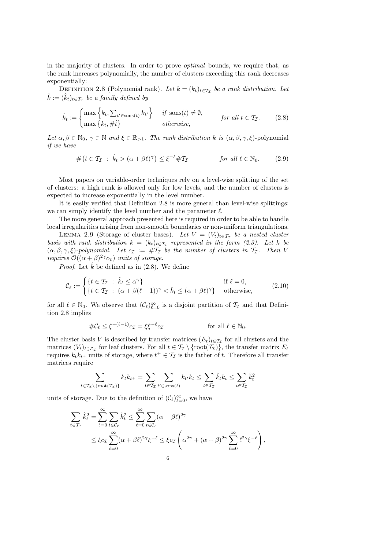in the majority of clusters. In order to prove *optimal* bounds, we require that, as the rank increases polynomially, the number of clusters exceeding this rank decreases exponentially:

DEFINITION 2.8 (Polynomial rank). Let  $k = (k_t)_{t \in \mathcal{T}_{\mathcal{I}}}$  be a rank distribution. Let  $\hat{k} := (\hat{k}_t)_{t \in \mathcal{T}_{\mathcal{I}}}$  be a family defined by

$$
\hat{k}_t := \begin{cases}\n\max\left\{k_t, \sum_{t' \in \text{sons}(t)} k_{t'}\right\} & \text{if } \text{sons}(t) \neq \emptyset, \\
\max\left\{k_t, \#\hat{t}\right\} & \text{otherwise,}\n\end{cases} \quad \text{for all } t \in \mathcal{T}_{\mathcal{I}}.\n\tag{2.8}
$$

*Let*  $\alpha, \beta \in \mathbb{N}_0$ ,  $\gamma \in \mathbb{N}$  *and*  $\xi \in \mathbb{R}_{>1}$ *. The rank distribution* k *is*  $(\alpha, \beta, \gamma, \xi)$ -polynomial *if we have*

$$
\#\{t \in \mathcal{T}_{\mathcal{I}} \ : \ \hat{k}_t > (\alpha + \beta \ell)^{\gamma}\} \leq \xi^{-\ell} \#\mathcal{T}_{\mathcal{I}} \qquad \text{for all } \ell \in \mathbb{N}_0. \tag{2.9}
$$

Most papers on variable-order techniques rely on a level-wise splitting of the set of clusters: a high rank is allowed only for low levels, and the number of clusters is expected to increase exponentially in the level number.

It is easily verified that Definition 2.8 is more general than level-wise splittings: we can simply identify the level number and the parameter  $\ell$ .

The more general approach presented here is required in order to be able to handle local irregularities arising from non-smooth boundaries or non-uniform triangulations.

LEMMA 2.9 (Storage of cluster bases). Let  $V = (V_t)_{t \in \mathcal{T}_T}$  be a nested cluster *basis with rank distribution*  $k = (k_t)_{t \in \mathcal{T}_{\mathcal{I}}}$  *represented in the form (2.3). Let* k *be*  $(\alpha, \beta, \gamma, \xi)$ -polynomial. Let  $c_{\mathcal{I}} := #T_{\mathcal{I}}$  be the number of clusters in  $T_{\mathcal{I}}$ . Then V *requires*  $\mathcal{O}((\alpha + \beta)^{2\gamma} c_{\mathcal{I}})$  *units of storage.* 

*Proof.* Let  $\hat{k}$  be defined as in (2.8). We define

$$
\mathcal{C}_{\ell} := \begin{cases} \{t \in \mathcal{T}_{\mathcal{I}} : \hat{k}_t \leq \alpha^{\gamma}\} & \text{if } \ell = 0, \\ \{t \in \mathcal{T}_{\mathcal{I}} : (\alpha + \beta(\ell - 1))^{\gamma} < \hat{k}_t \leq (\alpha + \beta \ell)^{\gamma}\} & \text{otherwise,} \end{cases} \tag{2.10}
$$

for all  $\ell \in \mathbb{N}_0$ . We observe that  $(\mathcal{C}_{\ell})_{\ell=0}^{\infty}$  is a disjoint partition of  $\mathcal{T}_{\mathcal{I}}$  and that Definition 2.8 implies

$$
\#\mathcal{C}_\ell \leq \xi^{-(\ell-1)}c_\mathcal{I} = \xi \xi^{-\ell}c_\mathcal{I} \qquad \qquad \text{ for all } \ell \in \mathbb{N}_0.
$$

The cluster basis V is described by transfer matrices  $(E_t)_{t\in\mathcal{T}_T}$  for all clusters and the matrices  $(V_t)_{t \in \mathcal{L}_{\mathcal{I}}}$  for leaf clusters. For all  $t \in \mathcal{T}_{\mathcal{I}} \setminus \{\text{root}(\mathcal{T}_{\mathcal{I}})\}\)$ , the transfer matrix  $E_t$ requires  $k_t k_{t+}$  units of storage, where  $t^+ \in \mathcal{T}_{\mathcal{I}}$  is the father of t. Therefore all transfer matrices require

$$
\sum_{t \in \mathcal{T}_{\mathcal{I}} \setminus \{\text{root}(\mathcal{T}_{\mathcal{I}})\}} k_t k_{t+} = \sum_{t \in \mathcal{T}_{\mathcal{I}}} \sum_{t' \in \text{sons}(t)} k_{t'} k_t \le \sum_{t \in \mathcal{T}_{\mathcal{I}}} \hat{k}_t k_t \le \sum_{t \in \mathcal{T}_{\mathcal{I}}} \hat{k}_t^2
$$

units of storage. Due to the definition of  $(\mathcal{C}_{\ell})_{\ell=0}^{\infty}$ , we have

$$
\sum_{t \in T_{\mathcal{I}}} \hat{k}_t^2 = \sum_{\ell=0}^{\infty} \sum_{t \in C_{\ell}} \hat{k}_t^2 \le \sum_{\ell=0}^{\infty} \sum_{t \in C_{\ell}} (\alpha + \beta \ell)^{2\gamma}
$$
  
\$\leq \xi c\_{\mathcal{I}} \sum\_{\ell=0}^{\infty} (\alpha + \beta \ell)^{2\gamma} \xi^{-\ell} \leq \xi c\_{\mathcal{I}} \left( \alpha^{2\gamma} + (\alpha + \beta)^{2\gamma} \sum\_{\ell=0}^{\infty} \ell^{2\gamma} \xi^{-\ell} \right),\$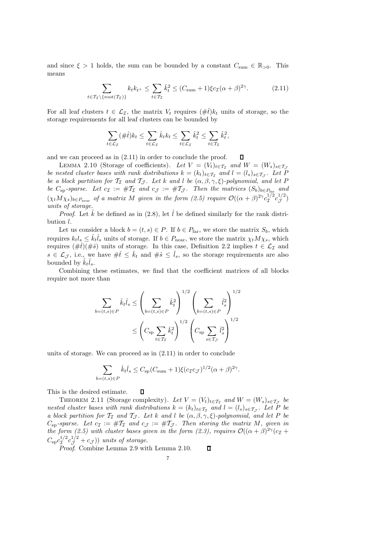and since  $\xi > 1$  holds, the sum can be bounded by a constant  $C_{\text{sum}} \in \mathbb{R}_{>0}$ . This means

$$
\sum_{t \in \mathcal{T}_{\mathcal{I}} \backslash \{\text{root}(\mathcal{T}_{\mathcal{I}})\}} k_t k_{t+} \le \sum_{t \in \mathcal{T}_{\mathcal{I}}} \hat{k}_t^2 \le (C_{\text{sum}} + 1)\xi c_{\mathcal{I}}(\alpha + \beta)^{2\gamma}.
$$
 (2.11)

For all leaf clusters  $t \in \mathcal{L}_{\mathcal{I}}$ , the matrix  $V_t$  requires  $(\#\hat{t})k_t$  units of storage, so the storage requirements for all leaf clusters can be bounded by

$$
\sum_{t \in \mathcal{L}_{\mathcal{I}}} (\#\hat{t}) k_t \leq \sum_{t \in \mathcal{L}_{\mathcal{I}}} \hat{k}_t k_t \leq \sum_{t \in \mathcal{L}_{\mathcal{I}}} \hat{k}_t^2 \leq \sum_{t \in \mathcal{T}_{\mathcal{I}}} \hat{k}_t^2,
$$

and we can proceed as in (2.11) in order to conclude the proof. Д

LEMMA 2.10 (Storage of coefficients). Let  $V = (V_t)_{t \in \mathcal{T}_{\mathcal{I}}}$  and  $W = (W_s)_{s \in \mathcal{T}_{\mathcal{I}}}$ *be nested cluster bases with rank distributions*  $k = (k_t)_{t \in \mathcal{T}_\tau}$  *and*  $l = (l_s)_{s \in \mathcal{T}_\tau}$ *. Let* P *be a block partition for*  $\mathcal{T}_{\mathcal{I}}$  *and*  $\mathcal{T}_{\mathcal{J}}$ *. Let* k *and* l *be*  $(\alpha, \beta, \gamma, \xi)$ -polynomial, *and* let P *be* C<sub>sp</sub>-sparse. Let  $c_I := #T_I$  and  $c_J := #T_J$ . Then the matrices  $(S_b)_{b \in P_{far}}$  and  $(\chi_t M \chi_s)_{b \in P_{\text{near}}}$  of a matrix M given in the form (2.5) require  $\mathcal{O}((\alpha + \beta)^{2\gamma} c_\mathcal{I}^{1/2} c_\mathcal{J}^{1/2})$ *units of storage.*

*Proof.* Let  $\hat{k}$  be defined as in (2.8), let  $\hat{l}$  be defined similarly for the rank distribution l.

Let us consider a block  $b = (t, s) \in P$ . If  $b \in P_{\text{far}}$ , we store the matrix  $S_b$ , which requires  $k_t l_s \leq \hat{k}_t \hat{l}_s$  units of storage. If  $b \in P_{\text{near}}$ , we store the matrix  $\chi_t M \chi_s$ , which requires  $(\#\hat{t})(\#\hat{s})$  units of storage. In this case, Definition 2.2 implies  $t \in \mathcal{L}_{\mathcal{I}}$  and  $s \in \mathcal{L}_{\mathcal{J}}$ , i.e., we have  $\#\hat{t} \leq \hat{k}_t$  and  $\#\hat{s} \leq \hat{l}_s$ , so the storage requirements are also bounded by  $\hat{k}_t \hat{l}_s$ .

Combining these estimates, we find that the coefficient matrices of all blocks require not more than

$$
\sum_{b=(t,s)\in P} \hat{k}_t \hat{l}_s \le \left(\sum_{b=(t,s)\in P} \hat{k}_t^2\right)^{1/2} \left(\sum_{b=(t,s)\in P} \hat{l}_s^2\right)^{1/2}
$$

$$
\le \left(C_{\text{sp}} \sum_{t \in \mathcal{T}_{\mathcal{I}}} \hat{k}_t^2\right)^{1/2} \left(C_{\text{sp}} \sum_{s \in \mathcal{T}_{\mathcal{I}}} \hat{l}_s^2\right)^{1/2}
$$

units of storage. We can proceed as in (2.11) in order to conclude

 $\Box$ 

$$
\sum_{b=(t,s)\in P} \hat{k}_t \hat{l}_s \le C_{\rm sp} (C_{\rm sum} + 1) \xi (c_T c_J)^{1/2} (\alpha + \beta)^{2\gamma}.
$$

This is the desired estimate.

THEOREM 2.11 (Storage complexity). Let  $V = (V_t)_{t \in \mathcal{T}_{\mathcal{I}}}$  and  $W = (W_s)_{s \in \mathcal{T}_{\mathcal{I}}}$  be *nested cluster bases with rank distributions*  $k = (k_t)_{t \in \mathcal{T}_{\tau}}$  *and*  $l = (l_s)_{s \in \mathcal{T}_{\tau}}$ *. Let* P *be a block partition for*  $\mathcal{T}_{I}$  *and*  $\mathcal{T}_{J}$ *. Let* k *and* l *be*  $(\alpha, \beta, \gamma, \xi)$ -polynomial, *and* let P *be*  $C_{\rm sp}$ -sparse. Let  $c_{\mathcal{I}} := \# \mathcal{I}_{\mathcal{I}}$  and  $c_{\mathcal{J}} := \# \mathcal{I}_{\mathcal{J}}$ . Then storing the matrix M, given in *the form (2.5) with cluster bases given in the form (2.3), requires*  $\mathcal{O}((\alpha + \beta)^{2\gamma}(c_{\mathcal{I}} +$  $C_{\rm sp}c_{\mathcal{I}}^{1/2}c_{\mathcal{J}}^{1/2}+c_{\mathcal{J}})$  *units of storage.* 

*Proof*. Combine Lemma 2.9 with Lemma 2.10.

 $\Box$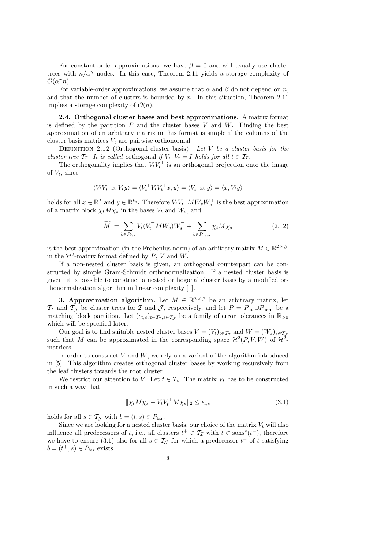For constant-order approximations, we have  $\beta = 0$  and will usually use cluster trees with  $n/\alpha^{\gamma}$  nodes. In this case, Theorem 2.11 yields a storage complexity of  $\mathcal{O}(\alpha^{\gamma} n)$ .

For variable-order approximations, we assume that  $\alpha$  and  $\beta$  do not depend on n, and that the number of clusters is bounded by  $n$ . In this situation, Theorem 2.11 implies a storage complexity of  $\mathcal{O}(n)$ .

**2.4. Orthogonal cluster bases and best approximations.** A matrix format is defined by the partition  $P$  and the cluster bases  $V$  and  $W$ . Finding the best approximation of an arbitrary matrix in this format is simple if the columns of the cluster basis matrices  $V_t$  are pairwise orthonormal.

Definition 2.12 (Orthogonal cluster basis). *Let* V *be a cluster basis for the cluster tree*  $\mathcal{T}_{\mathcal{I}}$ *. It is called* orthogonal *if*  $V_t^{\top} V_t = I$  *holds for all*  $t \in \mathcal{T}_{\mathcal{I}}$ *.* 

The orthogonality implies that  $V_t V_t^{\top}$  is an orthogonal projection onto the image of  $V_t$ , since

$$
\langle V_t V_t^\top x, V_t y \rangle = \langle V_t^\top V_t V_t^\top x, y \rangle = \langle V_t^\top x, y \rangle = \langle x, V_t y \rangle
$$

holds for all  $x \in \mathbb{R}^{\mathcal{I}}$  and  $y \in \mathbb{R}^{k_t}$ . Therefore  $V_t V_t^{\top} M W_s W_s^{\top}$  is the best approximation of a matrix block  $\chi_t M \chi_s$  in the bases  $V_t$  and  $W_s$ , and

$$
\widetilde{M} := \sum_{b \in P_{\text{far}}} V_t (V_t^\top M W_s) W_s^\top + \sum_{b \in P_{\text{near}}} \chi_t M \chi_s \tag{2.12}
$$

is the best approximation (in the Frobenius norm) of an arbitrary matrix  $M \in \mathbb{R}^{\mathcal{I} \times \mathcal{J}}$ in the  $\mathcal{H}^2$ -matrix format defined by P, V and W.

If a non-nested cluster basis is given, an orthogonal counterpart can be constructed by simple Gram-Schmidt orthonormalization. If a nested cluster basis is given, it is possible to construct a nested orthogonal cluster basis by a modified orthonormalization algorithm in linear complexity [1].

**3. Approximation algorithm.** Let  $M \in \mathbb{R}^{I \times J}$  be an arbitrary matrix, let  $\mathcal{T}_{\mathcal{I}}$  and  $\mathcal{T}_{\mathcal{J}}$  be cluster trees for  $\mathcal{I}$  and  $\mathcal{J}$ , respectively, and let  $P = P_{\text{far}} \dot{\cup} P_{\text{near}}$  be a matching block partition. Let  $(\epsilon_{t,s})_{t\in\mathcal{T}_{\tau},s\in\mathcal{T}_{\tau}}$  be a family of error tolerances in  $\mathbb{R}_{>0}$ which will be specified later.

Our goal is to find suitable nested cluster bases  $V = (V_t)_{t \in \mathcal{T}_{\mathcal{I}}}$  and  $W = (W_s)_{s \in \mathcal{T}_{\mathcal{J}}}$ such that M can be approximated in the corresponding space  $\mathcal{H}^2(P, V, W)$  of  $\mathcal{H}^2$ matrices.

In order to construct  $V$  and  $W$ , we rely on a variant of the algorithm introduced in [5]. This algorithm creates orthogonal cluster bases by working recursively from the leaf clusters towards the root cluster.

We restrict our attention to V. Let  $t \in \mathcal{T}_{\mathcal{T}}$ . The matrix  $V_t$  has to be constructed in such a way that

$$
\|\chi_t M \chi_s - V_t V_t^\top M \chi_s\|_2 \le \epsilon_{t,s} \tag{3.1}
$$

holds for all  $s \in \mathcal{T}_{\mathcal{T}}$  with  $b = (t, s) \in P_{\text{far}}$ .

Since we are looking for a nested cluster basis, our choice of the matrix  $V_t$  will also influence all predecessors of t, i.e., all clusters  $t^+ \in \mathcal{T}_{\mathcal{I}}$  with  $t \in \text{sons}^*(t^+)$ , therefore we have to ensure (3.1) also for all  $s \in \mathcal{T}_{\mathcal{J}}$  for which a predecessor  $t^+$  of t satisfying  $b = (t^+, s) \in P_{\text{far}}$  exists.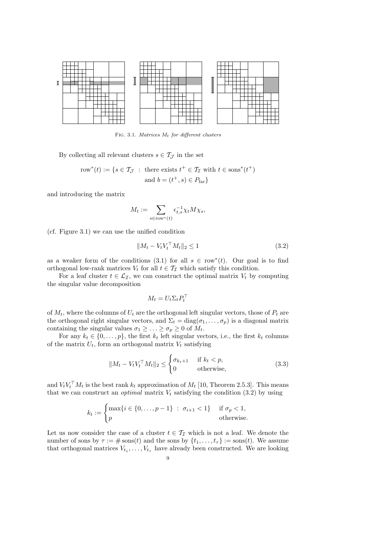

FIG. 3.1. Matrices  $M_t$  for different clusters

By collecting all relevant clusters  $s \in \mathcal{T}_{\mathcal{J}}$  in the set

$$
\text{row}^*(t) := \{ s \in \mathcal{T}_{\mathcal{J}} \; : \; \text{there exists } t^+ \in \mathcal{T}_{\mathcal{I}} \text{ with } t \in \text{sons}^*(t^+) \}
$$
\n
$$
\text{and } b = (t^+, s) \in P_{\text{far}} \}
$$

and introducing the matrix

$$
M_t := \sum_{s \in \text{row}^*(t)} \epsilon_{t,s}^{-1} \chi_t M \chi_s,
$$

(cf. Figure 3.1) we can use the unified condition

$$
||M_t - V_t V_t^\top M_t||_2 \le 1 \tag{3.2}
$$

as a weaker form of the conditions (3.1) for all  $s \in \text{row}^*(t)$ . Our goal is to find orthogonal low-rank matrices  $V_t$  for all  $t \in \mathcal{T}_{\mathcal{I}}$  which satisfy this condition.

For a leaf cluster  $t \in \mathcal{L}_{\mathcal{I}}$ , we can construct the optimal matrix  $V_t$  by computing the singular value decomposition

$$
M_t = U_t \Sigma_t P_t^\top
$$

of  $M_t$ , where the columns of  $U_t$  are the orthogonal left singular vectors, those of  $P_t$  are the orthogonal right singular vectors, and  $\Sigma_t = \text{diag}(\sigma_1, \ldots, \sigma_p)$  is a diagonal matrix containing the singular values  $\sigma_1 \geq \ldots \geq \sigma_p \geq 0$  of  $M_t$ .

For any  $k_t \in \{0, \ldots, p\}$ , the first  $k_t$  left singular vectors, i.e., the first  $k_t$  columns of the matrix  $U_t$ , form an orthogonal matrix  $V_t$  satisfying

$$
||M_t - V_t V_t^\top M_t||_2 \leq \begin{cases} \sigma_{k_t+1} & \text{if } k_t < p, \\ 0 & \text{otherwise,} \end{cases} \tag{3.3}
$$

and  $V_t V_t^{\top} M_t$  is the best rank  $k_t$  approximation of  $M_t$  [10, Theorem 2.5.3]. This means that we can construct an *optimal* matrix  $V_t$  satisfying the condition (3.2) by using

$$
k_t := \begin{cases} \max\{i \in \{0, \dots, p-1\} : \sigma_{i+1} < 1\} & \text{if } \sigma_p < 1, \\ p & \text{otherwise.} \end{cases}
$$

Let us now consider the case of a cluster  $t \in \mathcal{T}_{\mathcal{I}}$  which is not a leaf. We denote the number of sons by  $\tau := \# \text{ sons}(t)$  and the sons by  $\{t_1, \ldots, t_{\tau}\} := \text{sons}(t)$ . We assume that orthogonal matrices  $V_{t_1}, \ldots, V_{t_{\tau}}$  have already been constructed. We are looking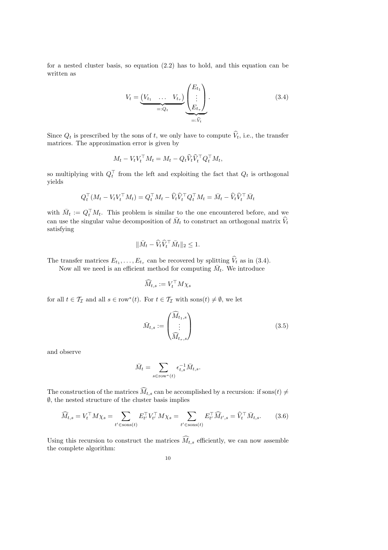for a nested cluster basis, so equation (2.2) has to hold, and this equation can be written as

$$
V_t = \underbrace{(V_{t_1} \quad \dots \quad V_{t_\tau})}_{=: Q_t} \underbrace{\begin{pmatrix} E_{t_1} \\ \vdots \\ E_{t_\tau} \end{pmatrix}}_{=: \widehat{V}_t}.
$$
\n(3.4)

Since  $Q_t$  is prescribed by the sons of t, we only have to compute  $\hat{V}_t$ , i.e., the transfer matrices. The approximation error is given by

$$
M_t - V_t V_t^\top M_t = M_t - Q_t \hat{V}_t \hat{V}_t^\top Q_t^\top M_t,
$$

so multiplying with  $Q_t^{\top}$  from the left and exploiting the fact that  $Q_t$  is orthogonal yields

$$
Q_t^\top (M_t - V_t V_t^\top M_t) = Q_t^\top M_t - \widehat{V}_t \widehat{V}_t^\top Q_t^\top M_t = \bar{M}_t - \widehat{V}_t \widehat{V}_t^\top \bar{M}_t
$$

with  $\overline{M}_t := Q_t^\top M_t$ . This problem is similar to the one encountered before, and we can use the singular value decomposition of  $\bar{M}_t$  to construct an orthogonal matrix  $\hat{V}_t$ satisfying

$$
\|\bar{M}_t - \widehat{V}_t \widehat{V}_t^\top \bar{M}_t\|_2 \le 1.
$$

The transfer matrices  $E_{t_1}, \ldots, E_{t_\tau}$  can be recovered by splitting  $\hat{V}_t$  as in (3.4).

Now all we need is an efficient method for computing  $\bar{M}_t$ . We introduce

$$
\widehat{M}_{t,s} := V_t^\top M \chi_s
$$

for all  $t \in \mathcal{T}_{\mathcal{I}}$  and all  $s \in \text{row}^*(t)$ . For  $t \in \mathcal{T}_{\mathcal{I}}$  with  $\text{sons}(t) \neq \emptyset$ , we let

$$
\bar{M}_{t,s} := \begin{pmatrix} \widehat{M}_{t_1,s} \\ \vdots \\ \widehat{M}_{t_r,s} \end{pmatrix}
$$
\n(3.5)

and observe

$$
\bar{M}_t = \sum_{s \in \text{row}^*(t)} \epsilon_{t,s}^{-1} \bar{M}_{t,s}.
$$

The construction of the matrices  $M_{t,s}$  can be accomplished by a recursion: if sons $(t) \neq$  $\emptyset$ , the nested structure of the cluster basis implies

$$
\widehat{M}_{t,s} = V_t^\top M \chi_s = \sum_{t' \in \text{sons}(t)} E_{t'}^\top V_{t'}^\top M \chi_s = \sum_{t' \in \text{sons}(t)} E_{t'}^\top \widehat{M}_{t',s} = \widehat{V}_t^\top \bar{M}_{t,s}.
$$
 (3.6)

Using this recursion to construct the matrices  $M_{t,s}$  efficiently, we can now assemble the complete algorithm: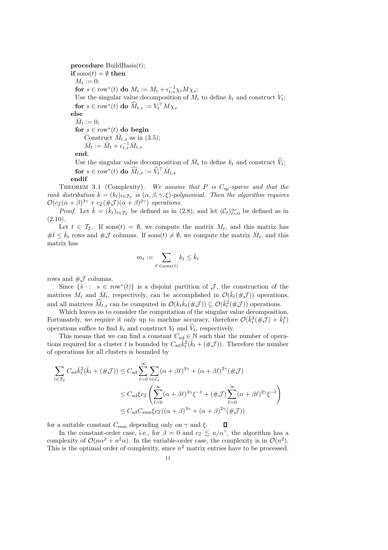**procedure** BuildBasis(*t*); **if** sons $(t) = \emptyset$  **then**  $M_t := 0;$ **for**  $s \in \text{row}^*(t)$  **do**  $M_t := M_t + \epsilon_{t,s}^{-1} \chi_t M \chi_s;$ Use the singular value decomposition of  $M_t$  to define  $k_t$  and construct  $V_t$ ; **for**  $s \in \text{row}^*(t)$  **do**  $M_{t,s} := V_t^\top M \chi_s$ **else**  $\bar{M}_t := 0;$ for  $s \in \text{row}^*(t)$  **do begin** Construct  $\overline{M}_{t,s}$  as in (3.5);  $\bar{M}_t := \bar{M}_t + \epsilon_{t,s}^{-1} \bar{M}_{t,s}$ **end**; Use the singular value decomposition of  $\bar{M}_t$  to define  $k_t$  and construct  $\hat{V}_t$ ;

 $\textbf{for } s \in \text{row}^*(t) \textbf{ do } \widehat{M}_{t,s} := \widehat{V}_t^\top \bar{M}_{t,s}$ 

**endif**

THEOREM 3.1 (Complexity). We assume that  $P$  is  $C_{\text{sp}}$ -sparse and that the *rank distribution*  $k = (k_t)_{t \in \mathcal{T}_{\tau}}$  *is*  $(\alpha, \beta, \gamma, \xi)$ *-polynomial. Then the algorithm requires*  $\mathcal{O}(c_{\mathcal{I}}(\alpha+\beta)^{3\gamma}+c_{\mathcal{I}}(\#\mathcal{J})(\alpha+\beta)^{2\gamma})$  operations.

*Proof.* Let  $\hat{k} = (\hat{k}_t)_{t \in \mathcal{T}_{\mathcal{I}}}$  be defined as in  $(2.8)$ , and let  $(\mathcal{C}_{\ell})_{\ell=0}^{\infty}$  be defined as in  $(2.10).$ 

Let  $t \in \mathcal{T}_{\mathcal{I}}$ . If sons $(t) = \emptyset$ , we compute the matrix  $M_t$ , and this matrix has  $\#\hat{t} \leq \hat{k}_t$  rows and  $\#\mathcal{J}$  columns. If sons $(t) \neq \emptyset$ , we compute the matrix  $\bar{M}_t$ , and this matrix has

$$
m_t := \sum_{t' \in \text{sons}(t)} k_t \leq \hat{k}_t
$$

rows and  $\#\mathcal{J}$  columns.

Since  $\{\hat{s} : s \in \text{row}^*(t)\}\$ is a disjoint partition of  $\mathcal{J}$ , the construction of the matrices  $M_t$  and  $\overline{M}_t$ , respectively, can be accomplished in  $\mathcal{O}(\hat{k}_t(\#\mathcal{J}))$  operations, and all matrices  $\widehat{M}_{t,s}$  can be computed in  $\mathcal{O}(k_t \widehat{k}_t(\#\mathcal{J})) \subseteq \mathcal{O}(\widehat{k}_t^2(\#\mathcal{J}))$  operations.

Which leaves us to consider the computation of the singular value decomposition. Fortunately, we require it only up to machine accuracy, therefore  $\mathcal{O}(\hat{k}_t^2(\#\mathcal{J}) + \hat{k}_t^3)$ operations suffice to find  $k_t$  and construct  $V_t$  and  $\hat{V}_t$ , respectively.

This means that we can find a constant  $C_{ad} \in \mathbb{N}$  such that the number of operations required for a cluster t is bounded by  $C_{ad}\hat{k}_t^2(\hat{k}_t + (\#\mathcal{J}))$ . Therefore the number of operations for all clusters is bounded by

$$
\sum_{t \in T_{\mathcal{I}}} C_{ad} \hat{k}_t^2 (\hat{k}_t + (\#\mathcal{J})) \leq C_{ad} \sum_{\ell=0}^{\infty} \sum_{t \in \mathcal{C}_{\ell}} (\alpha + \beta \ell)^{3\gamma} + (\alpha + \beta \ell)^{2\gamma} (\#\mathcal{J})
$$
  

$$
\leq C_{ad} \xi c_{\mathcal{I}} \left( \sum_{\ell=0}^{\infty} (\alpha + \beta \ell)^{3\gamma} \xi^{-\ell} + (\#\mathcal{J}) \sum_{\ell=0}^{\infty} (\alpha + \beta \ell)^{2\gamma} \xi^{-\ell} \right)
$$
  

$$
\leq C_{ad} C_{\text{sum}} \xi c_{\mathcal{I}} ((\alpha + \beta)^{3\gamma} + (\alpha + \beta)^{2\gamma} (\#\mathcal{J}))
$$

for a suitable constant  $C_{\text{sum}}$  depending only on  $\gamma$  and  $\xi$ .  $\Box$ 

In the constant-order case, i.e., for  $\beta = 0$  and  $c_{\mathcal{I}} \lesssim n/\alpha^{\gamma}$ , the algorithm has a complexity of  $\mathcal{O}(n\alpha^2 + n^2\alpha)$ . In the variable-order case, the complexity is in  $\mathcal{O}(n^2)$ . This is the optimal order of complexity, since  $n^2$  matrix entries have to be processed.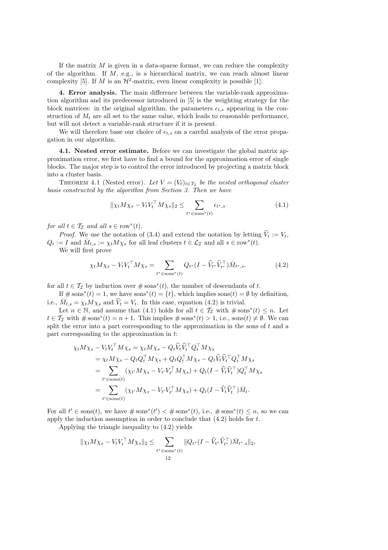If the matrix  $M$  is given in a data-sparse format, we can reduce the complexity of the algorithm. If  $M$ , e.g., is a hierarchical matrix, we can reach almost linear complexity [5]. If M is an  $\mathcal{H}^2$ -matrix, even linear complexity is possible [1].

**4. Error analysis.** The main difference between the variable-rank approximation algorithm and its predecessor introduced in [5] is the weighting strategy for the block matrices: in the original algorithm, the parameters  $\epsilon_{t,s}$  appearing in the construction of  $M_t$  are all set to the same value, which leads to reasonable performance, but will not detect a variable-rank structure if it is present.

We will therefore base our choice of  $\epsilon_{t,s}$  on a careful analysis of the error propagation in our algorithm.

**4.1. Nested error estimate.** Before we can investigate the global matrix approximation error, we first have to find a bound for the approximation error of single blocks. The major step is to control the error introduced by projecting a matrix block into a cluster basis.

THEOREM 4.1 (Nested error). Let  $V = (V_t)_{t \in \mathcal{T}_T}$  be the nested orthogonal cluster *basis constructed by the algorithm from Section 3. Then we have*

$$
\|\chi_t M \chi_s - V_t V_t^\top M \chi_s\|_2 \le \sum_{t^* \in \text{sons}^*(t)} \epsilon_{t^*,s} \tag{4.1}
$$

*for all*  $t \in \mathcal{T}_{\mathcal{I}}$  *and all*  $s \in \text{row}^*(t)$ *.* 

*Proof.* We use the notation of (3.4) and extend the notation by letting  $\hat{V}_t := V_t$ ,  $Q_t := I$  and  $\overline{M}_{t,s} := \chi_t M \chi_s$  for all leaf clusters  $t \in \mathcal{L}_{\mathcal{I}}$  and all  $s \in \text{row}^*(t)$ .

We will first prove

$$
\chi_t M \chi_s - V_t V_t^\top M \chi_s = \sum_{t^* \in \text{sons}^*(t)} Q_{t^*} (I - \widehat{V}_{t^*} \widehat{V}_{t^*}^\top) \bar{M}_{t^*,s}. \tag{4.2}
$$

for all  $t \in \mathcal{T}_{\mathcal{I}}$  by induction over  $\#$  sons<sup>\*</sup> $(t)$ , the number of descendants of t.

If  $\#$  sons\* $(t) = 1$ , we have sons\* $(t) = \{t\}$ , which implies sons $(t) = \emptyset$  by definition, i.e.,  $\bar{M}_{t,s} = \chi_t M \chi_s$  and  $\hat{V}_t = V_t$ . In this case, equation (4.2) is trivial.

Let  $n \in \mathbb{N}$ , and assume that (4.1) holds for all  $t \in \mathcal{T}_{\mathcal{I}}$  with  $\#\text{sons}^*(t) \leq n$ . Let  $t \in \mathcal{T}_{\mathcal{I}}$  with  $\#\text{sons}^*(t) = n+1$ . This implies  $\#\text{sons}^*(t) > 1$ , i.e., sons $(t) \neq \emptyset$ . We can split the error into a part corresponding to the approximation in the sons of  $t$  and a part corresponding to the approximation in t:

$$
\chi_t M \chi_s - V_t V_t^\top M \chi_s = \chi_t M \chi_s - Q_t \hat{V}_t \hat{V}_t^\top Q_t^\top M \chi_s \n= \chi_t M \chi_s - Q_t Q_t^\top M \chi_s + Q_t Q_t^\top M \chi_s - Q_t \hat{V}_t \hat{V}_t^\top Q_t^\top M \chi_s \n= \sum_{t' \in \text{sons}(t)} (\chi_{t'} M \chi_s - V_{t'} V_{t'}^\top M \chi_s) + Q_t (I - \hat{V}_t \hat{V}_t^\top) Q_t^\top M \chi_s \n= \sum_{t' \in \text{sons}(t)} (\chi_{t'} M \chi_s - V_{t'} V_{t'}^\top M \chi_s) + Q_t (I - \hat{V}_t \hat{V}_t^\top) \bar{M}_t.
$$

For all  $t' \in \text{sons}(t)$ , we have  $\text{# sons}^*(t') < \text{# sons}^*(t)$ , i.e.,  $\text{# sons}^*(t) \leq n$ , so we can apply the induction assumption in order to conclude that  $(4.2)$  holds for t.

Applying the triangle inequality to (4.2) yields

$$
\|\chi_t M \chi_s - V_t V_t^{\top} M \chi_s\|_2 \leq \sum_{t^* \in \text{sons}^*(t)} \|Q_{t^*} (I - \widehat{V}_{t^*} \widehat{V}_{t^*}^{\top}) \bar{M}_{t^*,s} \|_2,
$$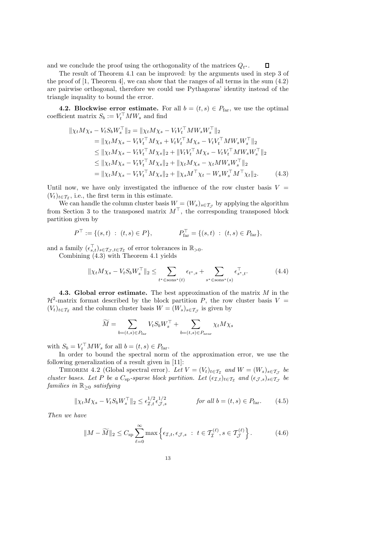and we conclude the proof using the orthogonality of the matrices  $Q_{t^*}$ .  $\Box$ 

The result of Theorem 4.1 can be improved: by the arguments used in step 3 of the proof of  $[1,$  Theorem 4, we can show that the ranges of all terms in the sum  $(4.2)$ are pairwise orthogonal, therefore we could use Pythagoras' identity instead of the triangle inquality to bound the error.

**4.2. Blockwise error estimate.** For all  $b = (t, s) \in P_{\text{far}}$ , we use the optimal coefficient matrix  $S_b := V_t^{\dagger} M W_s$  and find

$$
\| \chi_t M \chi_s - V_t S_b W_s^\top \|_2 = \| \chi_t M \chi_s - V_t V_t^\top M W_s W_s^\top \|_2
$$
  
\n
$$
= \| \chi_t M \chi_s - V_t V_t^\top M \chi_s + V_t V_t^\top M \chi_s - V_t V_t^\top M W_s W_s^\top \|_2
$$
  
\n
$$
\leq \| \chi_t M \chi_s - V_t V_t^\top M \chi_s \|_2 + \| V_t V_t^\top M \chi_s - V_t V_t^\top M W_s W_s^\top \|_2
$$
  
\n
$$
\leq \| \chi_t M \chi_s - V_t V_t^\top M \chi_s \|_2 + \| \chi_t M \chi_s - \chi_t M W_s W_s^\top \|_2
$$
  
\n
$$
= \| \chi_t M \chi_s - V_t V_t^\top M \chi_s \|_2 + \| \chi_s M^\top \chi_t - W_s W_s^\top M^\top \chi_t \|_2. \tag{4.3}
$$

Until now, we have only investigated the influence of the row cluster basis  $V =$  $(V_t)_{t \in \mathcal{T}_{\tau}}$ , i.e., the first term in this estimate.

We can handle the column cluster basis  $W = (W_s)_{s \in \mathcal{I}_{\mathcal{J}}}$  by applying the algorithm from Section 3 to the transposed matrix  $M<sup>T</sup>$ , the corresponding transposed block partition given by

$$
P^{\top} := \{(s,t) : (t,s) \in P\},
$$
  $P^{\top}_{far} = \{(s,t) : (t,s) \in P_{far}\},$ 

and a family  $(\epsilon_{s,t}^{\top})_{s \in \mathcal{T}_{\mathcal{J}}, t \in \mathcal{T}_{\mathcal{I}}}$  of error tolerances in  $\mathbb{R}_{>0}$ .

Combining (4.3) with Theorem 4.1 yields

$$
\|\chi_t M \chi_s - V_t S_b W_s^\top\|_2 \le \sum_{t^* \in \text{sons}^*(t)} \epsilon_{t^*,s} + \sum_{s^* \in \text{sons}^*(s)} \epsilon_{s^*,t}^\top. \tag{4.4}
$$

**4.3. Global error estimate.** The best approximation of the matrix M in the  $\mathcal{H}^2$ -matrix format described by the block partition P, the row cluster basis  $V =$  $(V_t)_{t\in\mathcal{T}_{\mathcal{T}}}$  and the column cluster basis  $W = (W_s)_{s\in\mathcal{T}_{\mathcal{T}}}$  is given by

$$
\widetilde{M} = \sum_{b=(t,s)\in P_{\text{far}}} V_t S_b W_s^\top + \sum_{b=(t,s)\in P_{\text{near}}} \chi_t M \chi_s
$$

with  $S_b = V_t^\top M W_s$  for all  $b = (t, s) \in P_{\text{far}}$ .

In order to bound the spectral norm of the approximation error, we use the following generalization of a result given in [11]:

THEOREM 4.2 (Global spectral error). Let  $V = (V_t)_{t \in \mathcal{T}_{\mathcal{T}}}$  and  $W = (W_s)_{s \in \mathcal{T}_{\mathcal{T}}}$  be *cluster bases. Let* P *be a*  $C_{\text{sp}}$ -sparse block partition. Let  $(\epsilon_{\mathcal{I},t})_{t\in\mathcal{T}_{\mathcal{I}}}$  and  $(\epsilon_{\mathcal{J},s})_{s\in\mathcal{T}_{\mathcal{J}}}$  be *families in* R≥<sup>0</sup> *satisfying*

$$
\|\chi_t M \chi_s - V_t S_b W_s^\top\|_2 \le \epsilon_{\mathcal{I},t}^{1/2} \epsilon_{\mathcal{J},s}^{1/2} \qquad \text{for all } b = (t,s) \in P_{\text{far}}.\tag{4.5}
$$

*Then we have*

$$
||M - \widetilde{M}||_2 \le C_{\text{sp}} \sum_{\ell=0}^{\infty} \max \left\{ \epsilon_{\mathcal{I},t}, \epsilon_{\mathcal{J},s} \ : \ t \in \mathcal{T}_{\mathcal{I}}^{(\ell)}, s \in \mathcal{T}_{\mathcal{J}}^{(\ell)} \right\}.
$$
 (4.6)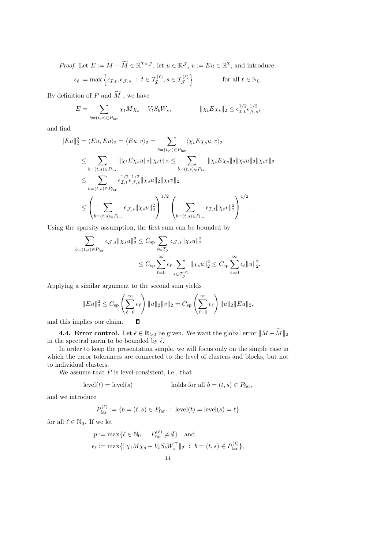*Proof.* Let  $E := M - \overline{M} \in \mathbb{R}^{\mathcal{I} \times \mathcal{J}}$ , let  $u \in \mathbb{R}^{\mathcal{J}}$ ,  $v := Eu \in \mathbb{R}^{\mathcal{I}}$ , and introduce  $\epsilon_\ell := \max\left\{\epsilon_{\mathcal{I},t}, \epsilon_{\mathcal{J},s} \; : \; t \in \mathcal{T}^{(\ell)}_{\mathcal{I}}, s \in \mathcal{T}^{(\ell)}_{\mathcal{J}}\right\}$ for all  $\ell \in \mathbb{N}_0$ .

By definition of  $P$  and  $M$  , we have

$$
E = \sum_{b=(t,s)\in P_{\text{far}}} \chi_t M \chi_s - V_t S_b W_s, \qquad \|\chi_t E \chi_s\|_2 \le \epsilon_{\mathcal{I},t}^{1/2} \epsilon_{\mathcal{J},s}^{1/2},
$$

and find

$$
||Eu||_2^2 = \langle Eu, Eu \rangle_2 = \langle Eu, v \rangle_2 = \sum_{b=(t,s) \in P_{\text{far}}} \langle \chi_t E \chi_s u, v \rangle_2
$$
  
\n
$$
\leq \sum_{b=(t,s) \in P_{\text{far}}} ||\chi_t E \chi_s u||_2 ||\chi_t v||_2 \leq \sum_{b=(t,s) \in P_{\text{far}}} ||\chi_t E \chi_s ||_2 ||\chi_s u||_2 ||\chi_t v||_2
$$
  
\n
$$
\leq \sum_{b=(t,s) \in P_{\text{far}}} \epsilon_{\mathcal{I},t}^{1/2} \epsilon_{\mathcal{I},s}^{1/2} ||\chi_s u||_2 ||\chi_t v||_2
$$
  
\n
$$
\leq \left(\sum_{b=(t,s) \in P_{\text{far}}} \epsilon_{\mathcal{I},s} ||\chi_s u||_2^2\right)^{1/2} \left(\sum_{b=(t,s) \in P_{\text{far}}} \epsilon_{\mathcal{I},t} ||\chi_t v||_2^2\right)^{1/2}.
$$

Using the sparsity assumption, the first sum can be bounded by

$$
\sum_{b=(t,s)\in P_{\text{far}}} \epsilon_{\mathcal{J},s} ||\chi_s u||_2^2 \leq C_{\text{sp}} \sum_{s\in\mathcal{I}_{\mathcal{J}}} \epsilon_{\mathcal{J},s} ||\chi_s u||_2^2
$$
  

$$
\leq C_{\text{sp}} \sum_{\ell=0}^{\infty} \epsilon_{\ell} \sum_{s\in\mathcal{I}_{\mathcal{J}}^{(\ell)}} ||\chi_s u||_2^2 \leq C_{\text{sp}} \sum_{\ell=0}^{\infty} \epsilon_{\ell} ||u||_2^2.
$$

Applying a similar argument to the second sum yields

$$
||Eu||_2^2 \leq C_{\rm sp} \left( \sum_{\ell=0}^{\infty} \epsilon_{\ell} \right) ||u||_2 ||v||_2 = C_{\rm sp} \left( \sum_{\ell=0}^{\infty} \epsilon_{\ell} \right) ||u||_2 ||Eu||_2,
$$

and this implies our claim.  $\Box$ 

**4.4. Error control.** Let  $\hat{\epsilon} \in \mathbb{R}_{\geq 0}$  be given. We want the global error  $||M - \widetilde{M}||_2$ in the spectral norm to be bounded by  $\hat{\epsilon}$ .

In order to keep the presentation simple, we will focus only on the simple case in which the error tolerances are connected to the level of clusters and blocks, but not to individual clusters.

We assume that  $P$  is level-consistent, i.e., that

$$
level(t) = level(s) \t\t holds for all  $b = (t, s) \in P_{far},$
$$

and we introduce

$$
P_{\text{far}}^{(\ell)} := \{b = (t, s) \in P_{\text{far}} \; : \; |\text{level}(t) = |\text{level}(s) = \ell\}
$$

for all  $\ell \in \mathbb{N}_0$ . If we let

$$
p := \max\{\ell \in \mathbb{N}_0 : P_{\text{far}}^{(\ell)} \neq \emptyset\}
$$
 and  
\n $\epsilon_{\ell} := \max\{\|\chi_t M \chi_s - V_t S_b W_s^{\top}\|_2 : b = (t, s) \in P_{\text{far}}^{(\ell)}\},\$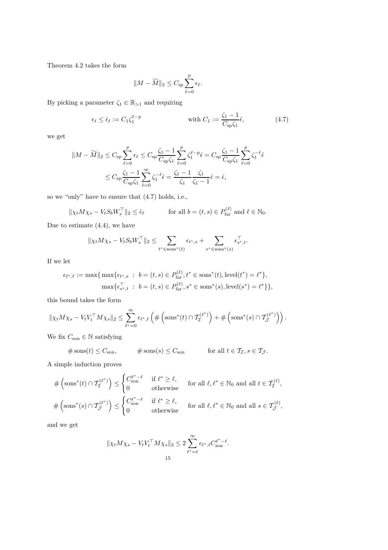Theorem 4.2 takes the form

$$
||M - \widetilde{M}||_2 \leq C_{\text{sp}} \sum_{\ell=0}^p \epsilon_\ell.
$$

By picking a parameter  $\zeta_1 \in \mathbb{R}_{>1}$  and requiring

$$
\epsilon_{\ell} \le \hat{\epsilon}_{\ell} := C_1 \zeta_1^{\ell - p} \qquad \text{with } C_1 := \frac{\zeta_1 - 1}{C_{\text{sp}} \zeta_1} \hat{\epsilon}, \tag{4.7}
$$

we get

$$
||M - \widetilde{M}||_2 \leq C_{\text{sp}} \sum_{\ell=0}^p \epsilon_\ell \leq C_{\text{sp}} \frac{\zeta_1 - 1}{C_{\text{sp}} \zeta_1} \sum_{\ell=0}^p \zeta_1^{\ell - p} \hat{\epsilon} = C_{\text{sp}} \frac{\zeta_1 - 1}{C_{\text{sp}} \zeta_1} \sum_{\ell=0}^p \zeta_1^{-\ell} \hat{\epsilon}
$$
  

$$
\leq C_{\text{sp}} \frac{\zeta_1 - 1}{C_{\text{sp}} \zeta_1} \sum_{\ell=0}^\infty \zeta_1^{-\ell} \hat{\epsilon} = \frac{\zeta_1 - 1}{\zeta_1} \frac{\zeta_1}{\zeta_1 - 1} \hat{\epsilon} = \hat{\epsilon},
$$

so we "only" have to ensure that (4.7) holds, i.e.,

$$
\|\chi_t M \chi_s - V_t S_b W_s^{\top}\|_2 \le \hat{\epsilon}_{\ell} \qquad \text{for all } b = (t, s) \in P_{\text{far}}^{(\ell)} \text{ and } \ell \in \mathbb{N}_0.
$$

Due to estimate (4.4), we have

$$
\|\chi_t M \chi_s - V_t S_b W_s^\top\|_2 \leq \sum_{t^* \in \text{sons}^*(t)} \epsilon_{t^*,s} + \sum_{s^* \in \text{sons}^*(s)} \epsilon_{s^*,t}^\top.
$$

If we let

$$
\epsilon_{\ell^*,\ell} := \max\{ \max\{\epsilon_{t^*,s} : b = (t,s) \in P_{\text{far}}^{(\ell)}, t^* \in \text{sons}^*(t), \text{level}(t^*) = \ell^* \},\
$$

$$
\max\{\epsilon_{s^*,t}^{\top} : b = (t,s) \in P_{\text{far}}^{(\ell)}, s^* \in \text{sons}^*(s), \text{level}(s^*) = \ell^* \}\},
$$

this bound takes the form

$$
\|\chi_t M \chi_s - V_t V_t^{\top} M \chi_s\|_2 \leq \sum_{\ell^*=0}^{\infty} \epsilon_{\ell^*,\ell} \left( \# \left( \mathrm{sons}^*(t) \cap T_{\mathcal{I}}^{(\ell^*)} \right) + \# \left( \mathrm{sons}^*(s) \cap T_{\mathcal{J}}^{(\ell^*)} \right) \right).
$$

We fix  $C_{\rm son} \in \mathbb{N}$  satisfying

$$
\# \operatorname{sons}(t) \le C_{\operatorname{son}}, \qquad \# \operatorname{sons}(s) \le C_{\operatorname{son}} \qquad \text{for all } t \in \mathcal{T}_{\mathcal{I}}, s \in \mathcal{T}_{\mathcal{J}}.
$$

A simple induction proves

$$
\#\left(\operatorname{sons}^*(t) \cap \mathcal{T}_{\mathcal{I}}^{(\ell^*)}\right) \leq \begin{cases} C_{\operatorname{son}}^{\ell^*-\ell} & \text{if } \ell^* \geq \ell, \\ 0 & \text{otherwise} \end{cases} \quad \text{for all } \ell, \ell^* \in \mathbb{N}_0 \text{ and all } t \in \mathcal{T}_{\mathcal{I}}^{(\ell)},
$$
\n
$$
\#\left(\operatorname{sons}^*(s) \cap \mathcal{T}_{\mathcal{J}}^{(\ell^*)}\right) \leq \begin{cases} C_{\operatorname{son}}^{\ell^*-\ell} & \text{if } \ell^* \geq \ell, \\ 0 & \text{otherwise} \end{cases} \quad \text{for all } \ell, \ell^* \in \mathbb{N}_0 \text{ and all } s \in \mathcal{T}_{\mathcal{J}}^{(\ell)},
$$

and we get

$$
\|\chi_t M \chi_s - V_t V_t^\top M \chi_s\|_2 \leq 2 \sum_{\ell^* = \ell}^{\infty} \epsilon_{\ell^*,\ell} C_{\text{son}}^{\ell^* - \ell}.
$$
  
15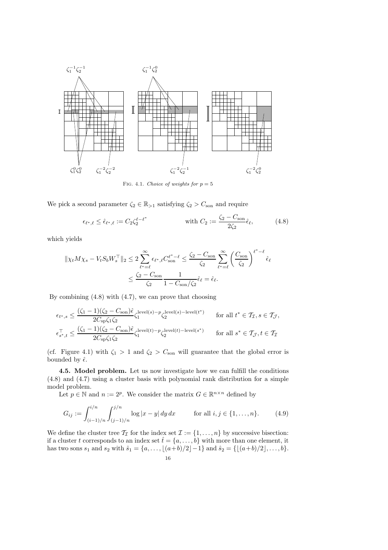

FIG. 4.1. Choice of weights for  $p = 5$ 

We pick a second parameter  $\zeta_2 \in \mathbb{R}_{>1}$  satisfying  $\zeta_2 > C_{\text{son}}$  and require

$$
\epsilon_{\ell^*,\ell} \le \hat{\epsilon}_{\ell^*,\ell} := C_2 \zeta_2^{\ell-\ell^*} \qquad \text{with } C_2 := \frac{\zeta_2 - C_{\text{son}}}{2\zeta_2} \hat{\epsilon}_{\ell}, \tag{4.8}
$$

which yields

$$
\begin{aligned} \|\chi_t M \chi_s - V_t S_b W_s^\top \|_2 &\le 2 \sum_{\ell^* = \ell}^\infty \epsilon_{\ell^*,\ell} C_{\text{son}}^{\ell^* - \ell} \le \frac{\zeta_2 - C_{\text{son}}}{\zeta_2} \sum_{\ell^* = \ell}^\infty \left(\frac{C_{\text{son}}}{\zeta_2}\right)^{\ell^* - \ell} \hat{\epsilon}_{\ell} \\ &\le \frac{\zeta_2 - C_{\text{son}}}{\zeta_2} \frac{1}{1 - C_{\text{son}}/\zeta_2} \hat{\epsilon}_{\ell} = \hat{\epsilon}_{\ell}. \end{aligned}
$$

By combining (4.8) with (4.7), we can prove that choosing

$$
\begin{aligned} &\epsilon_{t^*,s} \leq \frac{(\zeta_1-1)(\zeta_2-C_\mathrm{son})\hat{\epsilon}}{2C_\mathrm{sp}\zeta_1\zeta_2}\zeta_1^{\mathrm{level}(s)-p}\zeta_2^{\mathrm{level}(s)-\mathrm{level}(t^*)}&\text{ for all }t^*\in\mathcal{T}_{\mathcal{I}},s\in\mathcal{T}_{\mathcal{J}},\\ &\epsilon_{s^*,t}^\top \leq \frac{(\zeta_1-1)(\zeta_2-C_\mathrm{son})\hat{\epsilon}}{2C_\mathrm{sp}\zeta_1\zeta_2}\zeta_1^{\mathrm{level}(t)-p}\zeta_2^{\mathrm{level}(t)-\mathrm{level}(s^*)}&\text{ for all }s^*\in\mathcal{T}_{\mathcal{J}},t\in\mathcal{T}_{\mathcal{I}} \end{aligned}
$$

(cf. Figure 4.1) with  $\zeta_1 > 1$  and  $\zeta_2 > C_{\text{son}}$  will guarantee that the global error is bounded by  $\hat{\epsilon}$ .

**4.5. Model problem.** Let us now investigate how we can fulfill the conditions (4.8) and (4.7) using a cluster basis with polynomial rank distribution for a simple model problem.

Let  $p \in \mathbb{N}$  and  $n := 2^p$ . We consider the matrix  $G \in \mathbb{R}^{n \times n}$  defined by

$$
G_{ij} := \int_{(i-1)/n}^{i/n} \int_{(j-1)/n}^{j/n} \log |x - y| \, dy \, dx \qquad \text{for all } i, j \in \{1, \dots, n\}. \tag{4.9}
$$

We define the cluster tree  $\mathcal{T}_{\mathcal{I}}$  for the index set  $\mathcal{I} := \{1, \ldots, n\}$  by successive bisection: if a cluster t corresponds to an index set  $\hat{t} = \{a, \ldots, b\}$  with more than one element, it has two sons  $s_1$  and  $s_2$  with  $\hat{s}_1 = \{a, \ldots, \lfloor (a+b)/2 \rfloor - 1\}$  and  $\hat{s}_2 = \{\lfloor (a+b)/2 \rfloor, \ldots, b\}.$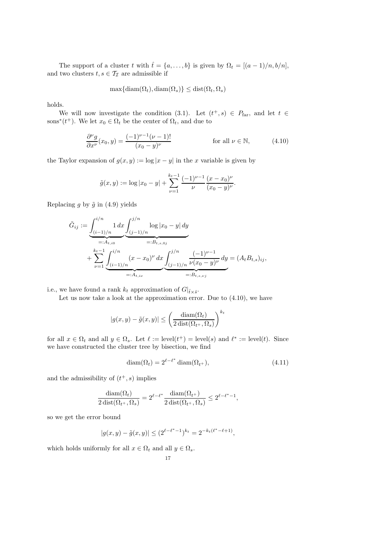The support of a cluster t with  $\hat{t} = \{a, \ldots, b\}$  is given by  $\Omega_t = [(a-1)/n, b/n]$ , and two clusters  $t,s\in\mathcal{T}_{\mathcal{I}}$  are admissible if

$$
\max\{\mathrm{diam}(\Omega_t),\mathrm{diam}(\Omega_s)\}\leq \mathrm{dist}(\Omega_t,\Omega_s)
$$

holds.

We will now investigate the condition (3.1). Let  $(t^+, s) \in P_{\text{far}}$ , and let  $t \in$ sons<sup>\*</sup>( $t^+$ ). We let  $x_0 \in \Omega_t$  be the center of  $\Omega_t$ , and due to

$$
\frac{\partial^{\nu}g}{\partial x^{\nu}}(x_0, y) = \frac{(-1)^{\nu - 1}(\nu - 1)!}{(x_0 - y)^{\nu}} \quad \text{for all } \nu \in \mathbb{N}, \tag{4.10}
$$

the Taylor expansion of  $g(x, y) := \log |x - y|$  in the x variable is given by

$$
\tilde{g}(x, y) := \log |x_0 - y| + \sum_{\nu=1}^{k_t - 1} \frac{(-1)^{\nu-1}}{\nu} \frac{(x - x_0)^{\nu}}{(x_0 - y)^{\nu}}.
$$

Replacing g by  $\tilde{g}$  in (4.9) yields

$$
\tilde{G}_{ij} := \underbrace{\int_{(i-1)/n}^{i/n} 1 \, dx \int_{(j-1)/n}^{j/n} \log |x_0 - y| \, dy}_{=:B_{t,s,0j}} + \sum_{\nu=1}^{k_t-1} \underbrace{\int_{(i-1)/n}^{i/n} (x - x_0)^{\nu} \, dx \int_{(j-1)/n}^{j/n} \frac{(-1)^{\nu-1}}{\nu(x_0 - y)^{\nu}} \, dy}_{=:A_{t,i\nu}} =:B_{t,s,\nu j} = (A_t B_{t,s})_{ij},
$$

i.e., we have found a rank  $k_t$  approximation of  $G|_{\hat{t}\times\hat{s}}$ .

Let us now take a look at the approximation error. Due to (4.10), we have

$$
|g(x,y) - \tilde{g}(x,y)| \le \left(\frac{\operatorname{diam}(\Omega_t)}{2 \operatorname{dist}(\Omega_{t^+}, \Omega_s)}\right)^{k_t}
$$

for all  $x \in \Omega_t$  and all  $y \in \Omega_s$ . Let  $\ell := \text{level}(t^+) = \text{level}(s)$  and  $\ell^* := \text{level}(t)$ . Since we have constructed the cluster tree by bisection, we find

$$
diam(\Omega_t) = 2^{\ell - \ell^*} diam(\Omega_{t^+}),
$$
\n(4.11)

and the admissibility of  $(t<sup>+</sup>, s)$  implies

$$
\frac{\text{diam}(\Omega_t)}{2\text{ dist}(\Omega_{t^+}, \Omega_s)} = 2^{\ell - \ell^*} \frac{\text{diam}(\Omega_{t^+})}{2\text{ dist}(\Omega_{t^+}, \Omega_s)} \le 2^{\ell - \ell^* - 1},
$$

so we get the error bound

$$
|g(x,y) - \tilde{g}(x,y)| \le (2^{\ell - \ell^* - 1})^{k_t} = 2^{-k_t(\ell^* - \ell + 1)},
$$

which holds uniformly for all  $x \in \Omega_t$  and all  $y \in \Omega_s$ .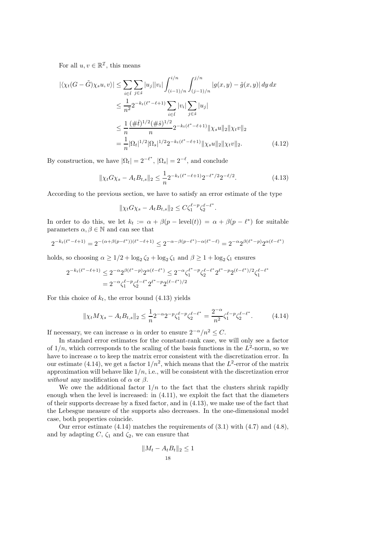For all  $u, v \in \mathbb{R}^{\mathcal{I}}$ , this means

$$
\left| \langle \chi_t(G - \tilde{G})\chi_s u, v \rangle \right| \leq \sum_{i \in \hat{t}} \sum_{j \in \hat{s}} |u_j||v_i| \int_{(i-1)/n}^{i/n} \int_{(j-1)/n}^{j/n} |g(x, y) - \tilde{g}(x, y)| \, dy \, dx
$$
  

$$
\leq \frac{1}{n^2} 2^{-k_t(\ell^* - \ell + 1)} \sum_{i \in \hat{t}} |v_i| \sum_{j \in \hat{s}} |u_j|
$$
  

$$
\leq \frac{1}{n} \frac{(\# \hat{t})^{1/2} (\# \hat{s})^{1/2}}{n} 2^{-k_t(\ell^* - \ell + 1)} \|\chi_s u\|_2 \|\chi_t v\|_2
$$
  

$$
= \frac{1}{n} |\Omega_t|^{1/2} |\Omega_s|^{1/2} 2^{-k_t(\ell^* - \ell + 1)} \|\chi_s u\|_2 \|\chi_t v\|_2.
$$
 (4.12)

By construction, we have  $|\Omega_t| = 2^{-\ell^*}, |\Omega_s| = 2^{-\ell},$  and conclude

$$
\|\chi_t G \chi_s - A_t B_{t,s}\|_2 \le \frac{1}{n} 2^{-k_t(\ell^* - \ell + 1)} 2^{-\ell^* / 2} 2^{-\ell / 2}.
$$
\n(4.13)

According to the previous section, we have to satisfy an error estimate of the type

$$
\|\chi_t G \chi_s - A_t B_{t,s}\|_2 \leq C \zeta_1^{\ell - p} \zeta_2^{\ell - \ell^*}.
$$

In order to do this, we let  $k_t := \alpha + \beta(p - level(t)) = \alpha + \beta(p - \ell^*)$  for suitable parameters  $\alpha, \beta \in \mathbb{N}$  and can see that

$$
2^{-k_t(\ell^*-\ell+1)} = 2^{-(\alpha+\beta(p-\ell^*))(\ell^*-\ell+1)} \leq 2^{-\alpha-\beta(p-\ell^*)-\alpha(\ell^*-\ell)} = 2^{-\alpha}2^{\beta(\ell^*-p)}2^{\alpha(\ell-\ell^*)}
$$

holds, so choosing  $\alpha \geq 1/2 + \log_2 \zeta_2 + \log_2 \zeta_1$  and  $\beta \geq 1 + \log_2 \zeta_1$  ensures

$$
2^{-k_t(\ell^* - \ell + 1)} \le 2^{-\alpha} 2^{\beta(\ell^* - p)} 2^{\alpha(\ell - \ell^*)} \le 2^{-\alpha} \zeta_1^{\ell^* - p} \zeta_2^{\ell - \ell^*} 2^{\ell^* - p} 2^{(\ell - \ell^*)/2} \zeta_1^{\ell - \ell^*}
$$
  
=  $2^{-\alpha} \zeta_1^{\ell - p} \zeta_2^{\ell - \ell^*} 2^{\ell^* - p} 2^{(\ell - \ell^*)/2}$ 

For this choice of  $k_t$ , the error bound (4.13) yields

$$
\|\chi_t M \chi_s - A_t B_{t,s}\|_2 \le \frac{1}{n} 2^{-\alpha} 2^{-p} \zeta_1^{\ell - p} \zeta_2^{\ell - \ell^*} = \frac{2^{-\alpha}}{n^2} \zeta_1^{\ell - p} \zeta_2^{\ell - \ell^*}.
$$
 (4.14)

If necessary, we can increase  $\alpha$  in order to ensure  $2^{-\alpha}/n^2 \leq C$ .

In standard error estimates for the constant-rank case, we will only see a factor of  $1/n$ , which corresponds to the scaling of the basis functions in the  $L^2$ -norm, so we have to increase  $\alpha$  to keep the matrix error consistent with the discretization error. In our estimate (4.14), we get a factor  $1/n^2$ , which means that the  $L^2$ -error of the matrix approximation will behave like  $1/n$ , i.e., will be consistent with the discretization error *without* any modification of  $\alpha$  or  $\beta$ .

We owe the additional factor  $1/n$  to the fact that the clusters shrink rapidly enough when the level is increased: in (4.11), we exploit the fact that the diameters of their supports decrease by a fixed factor, and in (4.13), we make use of the fact that the Lebesgue measure of the supports also decreases. In the one-dimensional model case, both properties coincide.

Our error estimate  $(4.14)$  matches the requirements of  $(3.1)$  with  $(4.7)$  and  $(4.8)$ , and by adapting  $C$ ,  $\zeta_1$  and  $\zeta_2$ , we can ensure that

$$
||M_t - A_t B_t||_2 \le 1
$$
  

$$
18
$$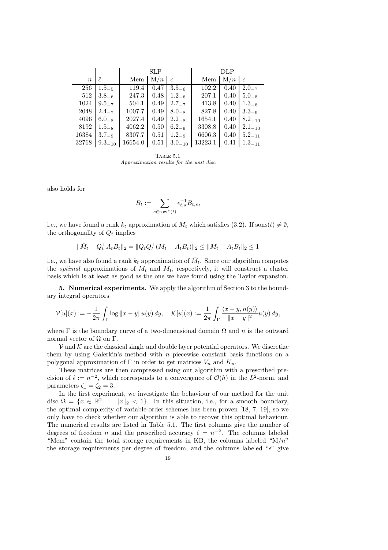|        |             | <b>SLP</b> |      |             | $\rm DLP$ |      |             |
|--------|-------------|------------|------|-------------|-----------|------|-------------|
| $\, n$ | ê           | Mem        | M/n  | $\epsilon$  | Mem       | M/n  | $\epsilon$  |
| 256    | $1.5 - 5$   | 119.4      | 0.47 | $3.5_{-6}$  | 102.2     | 0.40 | $2.0 - 7$   |
| 512    | $3.8_{-6}$  | 247.3      | 0.48 | $1.2_{-6}$  | 207.1     | 0.40 | $5.0_{-8}$  |
| 1024   | $9.5_{-7}$  | 504.1      | 0.49 | $2.7_{-7}$  | 413.8     | 0.40 | $1.3_{-8}$  |
| 2048   | $2.4_{-7}$  | 1007.7     | 0.49 | $8.0_{-8}$  | 827.8     | 0.40 | $3.3_{-9}$  |
| 4096   | $6.0_{-8}$  | 2027.4     | 0.49 | $2.2_{-8}$  | 1654.1    | 0.40 | $8.2_{-10}$ |
| 8192   | $1.5_{-8}$  | 4062.2     | 0.50 | $6.2_{-9}$  | 3308.8    | 0.40 | $2.1_{-10}$ |
| 16384  | $3.7_{-9}$  | 8307.7     | 0.51 | $1.2_{-9}$  | 6606.3    | 0.40 | $5.2_{-11}$ |
| 32768  | $9.3_{-10}$ | 16654.0    | 0.51 | $3.0_{-10}$ | 13223.1   | 0.41 | $1.3_{-11}$ |

TABLE  $5.1$ Approximation results for the unit disc

also holds for

$$
B_t := \sum_{s \in \text{row}^*(t)} \epsilon_{t,s}^{-1} B_{t,s},
$$

i.e., we have found a rank  $k_t$  approximation of  $M_t$  which satisfies (3.2). If sons(t)  $\neq \emptyset$ , the orthogonality of  $Q_t$  implies

$$
\|\bar{M}_t - Q_t^\top A_t B_t\|_2 = \|Q_t Q_t^\top (M_t - A_t B_t)\|_2 \le \|M_t - A_t B_t\|_2 \le 1
$$

i.e., we have also found a rank  $k_t$  approximation of  $\overline{M}_t$ . Since our algorithm computes the *optimal* approximations of  $M_t$  and  $\overline{M}_t$ , respectively, it will construct a cluster basis which is at least as good as the one we have found using the Taylor expansion.

**5. Numerical experiments.** We apply the algorithm of Section 3 to the boundary integral operators

$$
\mathcal{V}[u](x) := -\frac{1}{2\pi} \int_{\Gamma} \log \|x - y\| u(y) \, dy, \quad \mathcal{K}[u](x) := \frac{1}{2\pi} \int_{\Gamma} \frac{\langle x - y, n(y) \rangle}{\|x - y\|^2} u(y) \, dy,
$$

where  $\Gamma$  is the boundary curve of a two-dimensional domain  $\Omega$  and n is the outward normal vector of  $Ω$  on Γ.

 $V$  and  $K$  are the classical single and double layer potential operators. We discretize them by using Galerkin's method with  $n$  piecewise constant basis functions on a polygonal approximation of Γ in order to get matrices  $V_n$  and  $K_n$ .

These matrices are then compressed using our algorithm with a prescribed precision of  $\hat{\epsilon} := n^{-2}$ , which corresponds to a convergence of  $\mathcal{O}(h)$  in the  $L^2$ -norm, and parameters  $\zeta_1 = \zeta_2 = 3$ .

In the first experiment, we investigate the behaviour of our method for the unit disc  $\Omega = \{x \in \mathbb{R}^2 : ||x||_2 < 1\}$ . In this situation, i.e., for a smooth boundary, the optimal complexity of variable-order schemes has been proven [18, 7, 19], so we only have to check whether our algorithm is able to recover this optimal behaviour. The numerical results are listed in Table 5.1. The first columns give the number of degrees of freedom *n* and the prescribed accuracy  $\hat{\epsilon} = n^{-2}$ . The columns labeled "Mem" contain the total storage requirements in KB, the columns labeled " $M/n$ " the storage requirements per degree of freedom, and the columns labeled " $\epsilon$ " give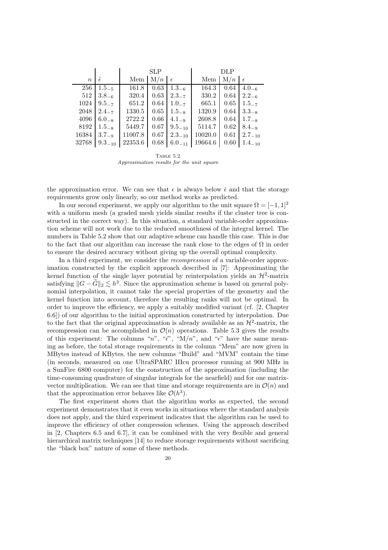|                  |             | <b>SLP</b> |      |             | DLP     |      |             |
|------------------|-------------|------------|------|-------------|---------|------|-------------|
| $\boldsymbol{n}$ | Ê           | Mem        | M/n  | $\epsilon$  | Mem     | M/n  | $\epsilon$  |
| 256              | $1.5 - 5$   | 161.8      | 0.63 | $1.3_{-6}$  | 164.3   | 0.64 | $4.0_{-6}$  |
| 512              | $3.8_{-6}$  | 320.4      | 0.63 | $2.3_{-7}$  | 330.2   | 0.64 | $2.2_{-6}$  |
| 1024             | $9.5_{-7}$  | 651.2      | 0.64 | $1.0_{-7}$  | 665.1   | 0.65 | $1.5_{-7}$  |
| 2048             | $2.4_{-7}$  | 1330.5     | 0.65 | $1.5_{-8}$  | 1320.9  | 0.64 | $3.3_{-8}$  |
| 4096             | $6.0_{-8}$  | 2722.2     | 0.66 | $4.1_{-9}$  | 2608.8  | 0.64 | $1.7_{-8}$  |
| 8192             | $1.5_{-8}$  | 5449.7     | 0.67 | $9.5_{-10}$ | 5114.7  | 0.62 | $8.4_{-9}$  |
| 16384            | $3.7_{-9}$  | 11007.8    | 0.67 | $2.3_{-10}$ | 10020.0 | 0.61 | $2.7_{-10}$ |
| 32768            | $9.3_{-10}$ | 22353.6    | 0.68 | $6.0_{-11}$ | 19664.6 | 0.60 | $1.4_{-10}$ |

TABLE  $5.2$ Approximation results for the unit square

the approximation error. We can see that  $\epsilon$  is always below  $\hat{\epsilon}$  and that the storage requirements grow only linearly, so our method works as predicted.

In our second experiment, we apply our algorithm to the unit square  $\Omega = [-1, 1]^2$ with a uniform mesh (a graded mesh yields similar results if the cluster tree is constructed in the correct way). In this situation, a standard variable-order approximation scheme will not work due to the reduced smoothness of the integral kernel. The numbers in Table 5.2 show that our adaptive scheme can handle this case. This is due to the fact that our algorithm can increase the rank close to the edges of  $\Omega$  in order to ensure the desired accuracy without giving up the overall optimal complexity.

In a third experiment, we consider the *recompression* of a variable-order approximation constructed by the explicit approach described in [7]: Approximating the kernel function of the single layer potential by reinterpolation yields an  $\mathcal{H}^2$ -matrix satisfying  $||G - \tilde{G}||_2 \leq h^3$ . Since the approximation scheme is based on general polynomial interpolation, it cannot take the special properties of the geometry and the kernel function into account, therefore the resulting ranks will not be optimal. In order to improve the efficiency, we apply a suitably modified variant (cf. [2, Chapter 6.6]) of our algorithm to the initial approximation constructed by interpolation. Due to the fact that the original approximation is already available as an  $\mathcal{H}^2$ -matrix, the recompression can be accomplished in  $\mathcal{O}(n)$  operations. Table 5.3 gives the results of this experiment: The columns "n", " $\hat{\epsilon}$ ", "M/n", and " $\epsilon$ " have the same meaning as before, the total storage requirements in the column "Mem" are now given in MBytes instead of KBytes, the new columns "Build" and "MVM" contain the time (in seconds, measured on one UltraSPARC IIIcu processor running at 900 MHz in a SunFire 6800 computer) for the construction of the approximation (including the time-consuming quadrature of singular integrals for the nearfield) and for one matrixvector multiplication. We can see that time and storage requirements are in  $\mathcal{O}(n)$  and that the approximation error behaves like  $\mathcal{O}(h^3)$ .

The first experiment shows that the algorithm works as expected, the second experiment demonstrates that it even works in situations where the standard analysis does not apply, and the third experiment indicates that the algorithm can be used to improve the efficiency of other compression schemes. Using the approach described in [2, Chapters 6.5 and 6.7], it can be combined with the very flexible and general hierarchical matrix techniques [14] to reduce storage requirements without sacrificing the "black box" nature of some of these methods.